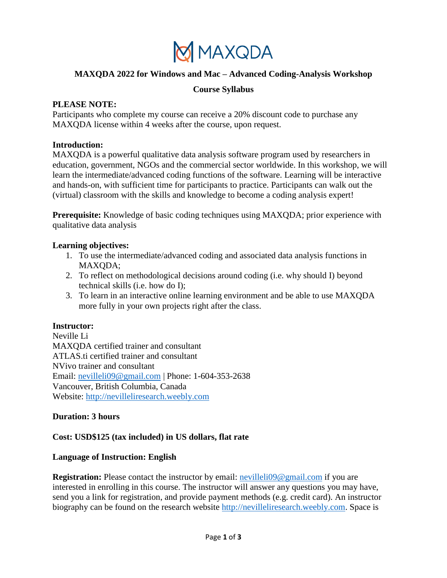

# **MAXQDA 2022 for Windows and Mac – Advanced Coding-Analysis Workshop**

#### **Course Syllabus**

#### **PLEASE NOTE:**

Participants who complete my course can receive a 20% discount code to purchase any MAXQDA license within 4 weeks after the course, upon request.

#### **Introduction:**

MAXQDA is a powerful qualitative data analysis software program used by researchers in education, government, NGOs and the commercial sector worldwide. In this workshop, we will learn the intermediate/advanced coding functions of the software. Learning will be interactive and hands-on, with sufficient time for participants to practice. Participants can walk out the (virtual) classroom with the skills and knowledge to become a coding analysis expert!

**Prerequisite:** Knowledge of basic coding techniques using MAXQDA; prior experience with qualitative data analysis

#### **Learning objectives:**

- 1. To use the intermediate/advanced coding and associated data analysis functions in MAXQDA;
- 2. To reflect on methodological decisions around coding (i.e. why should I) beyond technical skills (i.e. how do I);
- 3. To learn in an interactive online learning environment and be able to use MAXQDA more fully in your own projects right after the class.

## **Instructor:**

Neville Li MAXQDA certified trainer and consultant ATLAS.ti certified trainer and consultant NVivo trainer and consultant Email: [nevilleli09@gmail.com](mailto:nevilleli09@gmail.com) | Phone: 1-604-353-2638 Vancouver, British Columbia, Canada Website: [http://nevilleliresearch.weebly.com](http://nevilleliresearch.weebly.com/)

## **Duration: 3 hours**

## **Cost: USD\$125 (tax included) in US dollars, flat rate**

#### **Language of Instruction: English**

**Registration:** Please contact the instructor by email: [nevilleli09@gmail.com](mailto:nevilleli09@gmail.com) if you are interested in enrolling in this course. The instructor will answer any questions you may have, send you a link for registration, and provide payment methods (e.g. credit card). An instructor biography can be found on the research website [http://nevilleliresearch.weebly.com.](http://nevilleliresearch.weebly.com/) Space is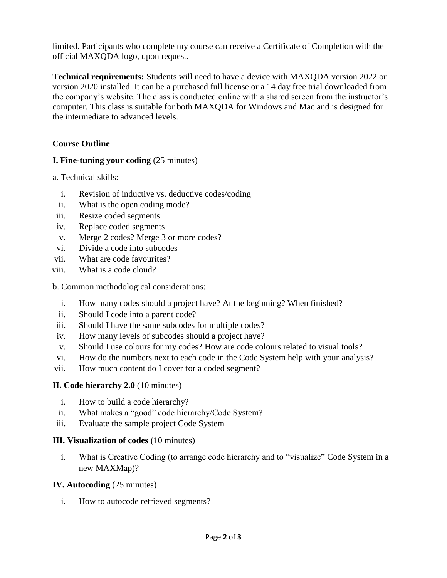limited. Participants who complete my course can receive a Certificate of Completion with the official MAXQDA logo, upon request.

**Technical requirements:** Students will need to have a device with MAXQDA version 2022 or version 2020 installed. It can be a purchased full license or a 14 day free trial downloaded from the company's website. The class is conducted online with a shared screen from the instructor's computer. This class is suitable for both MAXQDA for Windows and Mac and is designed for the intermediate to advanced levels.

# **Course Outline**

## **I. Fine-tuning your coding** (25 minutes)

a. Technical skills:

- i. Revision of inductive vs. deductive codes/coding
- ii. What is the open coding mode?
- iii. Resize coded segments
- iv. Replace coded segments
- v. Merge 2 codes? Merge 3 or more codes?
- vi. Divide a code into subcodes
- vii. What are code favourites?
- viii. What is a code cloud?

b. Common methodological considerations:

- i. How many codes should a project have? At the beginning? When finished?
- ii. Should I code into a parent code?
- iii. Should I have the same subcodes for multiple codes?
- iv. How many levels of subcodes should a project have?
- v. Should I use colours for my codes? How are code colours related to visual tools?
- vi. How do the numbers next to each code in the Code System help with your analysis?
- vii. How much content do I cover for a coded segment?

#### **II. Code hierarchy 2.0** (10 minutes)

- i. How to build a code hierarchy?
- ii. What makes a "good" code hierarchy/Code System?
- iii. Evaluate the sample project Code System

#### **III. Visualization of codes** (10 minutes)

i. What is Creative Coding (to arrange code hierarchy and to "visualize" Code System in a new MAXMap)?

#### **IV. Autocoding** (25 minutes)

i. How to autocode retrieved segments?